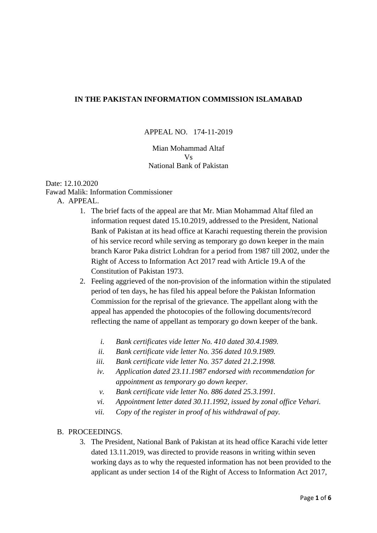# **IN THE PAKISTAN INFORMATION COMMISSION ISLAMABAD**

### APPEAL NO. 174-11-2019

### Mian Mohammad Altaf Vs National Bank of Pakistan

#### Date: 12.10.2020 Fawad Malik: Information Commissioner A. APPEAL.

- 1. The brief facts of the appeal are that Mr. Mian Mohammad Altaf filed an information request dated 15.10.2019, addressed to the President, National Bank of Pakistan at its head office at Karachi requesting therein the provision of his service record while serving as temporary go down keeper in the main branch Karor Paka district Lohdran for a period from 1987 till 2002, under the Right of Access to Information Act 2017 read with Article 19.A of the
	- Constitution of Pakistan 1973.
	- 2. Feeling aggrieved of the non-provision of the information within the stipulated period of ten days, he has filed his appeal before the Pakistan Information Commission for the reprisal of the grievance. The appellant along with the appeal has appended the photocopies of the following documents/record reflecting the name of appellant as temporary go down keeper of the bank.
		- *i. Bank certificates vide letter No. 410 dated 30.4.1989.*
		- *ii. Bank certificate vide letter No. 356 dated 10.9.1989.*
		- *iii. Bank certificate vide letter No. 357 dated 21.2.1998.*
		- *iv. Application dated 23.11.1987 endorsed with recommendation for appointment as temporary go down keeper.*
		- *v. Bank certificate vide letter No. 886 dated 25.3.1991.*
		- *vi. Appointment letter dated 30.11.1992, issued by zonal office Vehari.*
		- *vii. Copy of the register in proof of his withdrawal of pay.*

### B. PROCEEDINGS.

3. The President, National Bank of Pakistan at its head office Karachi vide letter dated 13.11.2019, was directed to provide reasons in writing within seven working days as to why the requested information has not been provided to the applicant as under section 14 of the Right of Access to Information Act 2017,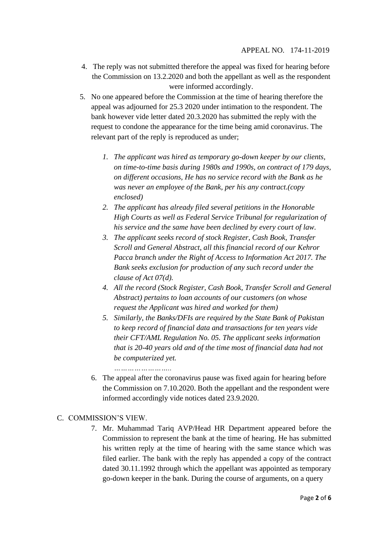- 4. The reply was not submitted therefore the appeal was fixed for hearing before the Commission on 13.2.2020 and both the appellant as well as the respondent were informed accordingly.
- 5. No one appeared before the Commission at the time of hearing therefore the appeal was adjourned for 25.3 2020 under intimation to the respondent. The bank however vide letter dated 20.3.2020 has submitted the reply with the request to condone the appearance for the time being amid coronavirus. The relevant part of the reply is reproduced as under;
	- *1. The applicant was hired as temporary go-down keeper by our clients, on time-to-time basis during 1980s and 1990s, on contract of 179 days, on different occasions, He has no service record with the Bank as he was never an employee of the Bank, per his any contract.(copy enclosed)*
	- *2. The applicant has already filed several petitions in the Honorable High Courts as well as Federal Service Tribunal for regularization of his service and the same have been declined by every court of law.*
	- *3. The applicant seeks record of stock Register, Cash Book, Transfer Scroll and General Abstract, all this financial record of our Kehror Pacca branch under the Right of Access to Information Act 2017. The Bank seeks exclusion for production of any such record under the clause of Act 07(d).*
	- *4. All the record (Stock Register, Cash Book, Transfer Scroll and General Abstract) pertains to loan accounts of our customers (on whose request the Applicant was hired and worked for them)*
	- *5. Similarly, the Banks/DFIs are required by the State Bank of Pakistan to keep record of financial data and transactions for ten years vide their CFT/AML Regulation No. 05. The applicant seeks information that is 20-40 years old and of the time most of financial data had not be computerized yet.*

*……………………..*

6. The appeal after the coronavirus pause was fixed again for hearing before the Commission on 7.10.2020. Both the appellant and the respondent were informed accordingly vide notices dated 23.9.2020.

# C. COMMISSION'S VIEW.

7. Mr. Muhammad Tariq AVP/Head HR Department appeared before the Commission to represent the bank at the time of hearing. He has submitted his written reply at the time of hearing with the same stance which was filed earlier. The bank with the reply has appended a copy of the contract dated 30.11.1992 through which the appellant was appointed as temporary go-down keeper in the bank. During the course of arguments, on a query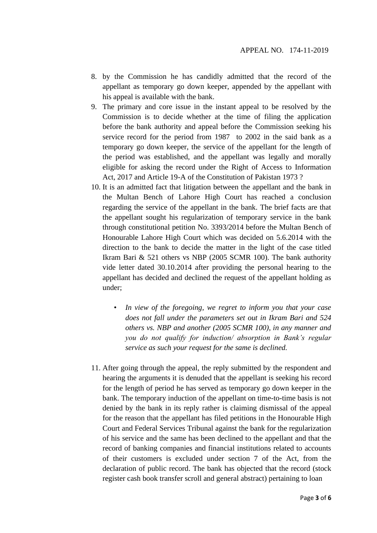- 8. by the Commission he has candidly admitted that the record of the appellant as temporary go down keeper, appended by the appellant with his appeal is available with the bank.
- 9. The primary and core issue in the instant appeal to be resolved by the Commission is to decide whether at the time of filing the application before the bank authority and appeal before the Commission seeking his service record for the period from 1987 to 2002 in the said bank as a temporary go down keeper, the service of the appellant for the length of the period was established, and the appellant was legally and morally eligible for asking the record under the Right of Access to Information Act, 2017 and Article 19-A of the Constitution of Pakistan 1973 ?
- 10. It is an admitted fact that litigation between the appellant and the bank in the Multan Bench of Lahore High Court has reached a conclusion regarding the service of the appellant in the bank. The brief facts are that the appellant sought his regularization of temporary service in the bank through constitutional petition No. 3393/2014 before the Multan Bench of Honourable Lahore High Court which was decided on 5.6.2014 with the direction to the bank to decide the matter in the light of the case titled Ikram Bari & 521 others vs NBP (2005 SCMR 100). The bank authority vide letter dated 30.10.2014 after providing the personal hearing to the appellant has decided and declined the request of the appellant holding as under;
	- *In view of the foregoing, we regret to inform you that your case does not fall under the parameters set out in Ikram Bari and 524 others vs. NBP and another (2005 SCMR 100), in any manner and you do not qualify for induction/ absorption in Bank's regular service as such your request for the same is declined.*
- 11. After going through the appeal, the reply submitted by the respondent and hearing the arguments it is denuded that the appellant is seeking his record for the length of period he has served as temporary go down keeper in the bank. The temporary induction of the appellant on time-to-time basis is not denied by the bank in its reply rather is claiming dismissal of the appeal for the reason that the appellant has filed petitions in the Honourable High Court and Federal Services Tribunal against the bank for the regularization of his service and the same has been declined to the appellant and that the record of banking companies and financial institutions related to accounts of their customers is excluded under section 7 of the Act, from the declaration of public record. The bank has objected that the record (stock register cash book transfer scroll and general abstract) pertaining to loan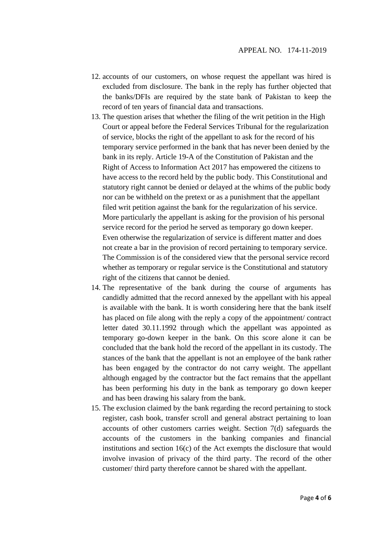- 12. accounts of our customers, on whose request the appellant was hired is excluded from disclosure. The bank in the reply has further objected that the banks/DFIs are required by the state bank of Pakistan to keep the record of ten years of financial data and transactions.
- 13. The question arises that whether the filing of the writ petition in the High Court or appeal before the Federal Services Tribunal for the regularization of service, blocks the right of the appellant to ask for the record of his temporary service performed in the bank that has never been denied by the bank in its reply. Article 19-A of the Constitution of Pakistan and the Right of Access to Information Act 2017 has empowered the citizens to have access to the record held by the public body. This Constitutional and statutory right cannot be denied or delayed at the whims of the public body nor can be withheld on the pretext or as a punishment that the appellant filed writ petition against the bank for the regularization of his service. More particularly the appellant is asking for the provision of his personal service record for the period he served as temporary go down keeper. Even otherwise the regularization of service is different matter and does not create a bar in the provision of record pertaining to temporary service. The Commission is of the considered view that the personal service record whether as temporary or regular service is the Constitutional and statutory right of the citizens that cannot be denied.
- 14. The representative of the bank during the course of arguments has candidly admitted that the record annexed by the appellant with his appeal is available with the bank. It is worth considering here that the bank itself has placed on file along with the reply a copy of the appointment/ contract letter dated 30.11.1992 through which the appellant was appointed as temporary go-down keeper in the bank. On this score alone it can be concluded that the bank hold the record of the appellant in its custody. The stances of the bank that the appellant is not an employee of the bank rather has been engaged by the contractor do not carry weight. The appellant although engaged by the contractor but the fact remains that the appellant has been performing his duty in the bank as temporary go down keeper and has been drawing his salary from the bank.
- 15. The exclusion claimed by the bank regarding the record pertaining to stock register, cash book, transfer scroll and general abstract pertaining to loan accounts of other customers carries weight. Section 7(d) safeguards the accounts of the customers in the banking companies and financial institutions and section 16(c) of the Act exempts the disclosure that would involve invasion of privacy of the third party. The record of the other customer/ third party therefore cannot be shared with the appellant.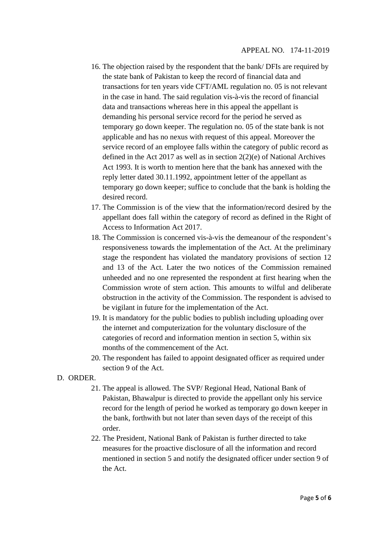- 16. The objection raised by the respondent that the bank/ DFIs are required by the state bank of Pakistan to keep the record of financial data and transactions for ten years vide CFT/AML regulation no. 05 is not relevant in the case in hand. The said regulation vis-à-vis the record of financial data and transactions whereas here in this appeal the appellant is demanding his personal service record for the period he served as temporary go down keeper. The regulation no. 05 of the state bank is not applicable and has no nexus with request of this appeal. Moreover the service record of an employee falls within the category of public record as defined in the Act 2017 as well as in section 2(2)(e) of National Archives Act 1993. It is worth to mention here that the bank has annexed with the reply letter dated 30.11.1992, appointment letter of the appellant as temporary go down keeper; suffice to conclude that the bank is holding the desired record.
- 17. The Commission is of the view that the information/record desired by the appellant does fall within the category of record as defined in the Right of Access to Information Act 2017.
- 18. The Commission is concerned vis-à-vis the demeanour of the respondent's responsiveness towards the implementation of the Act. At the preliminary stage the respondent has violated the mandatory provisions of section 12 and 13 of the Act. Later the two notices of the Commission remained unheeded and no one represented the respondent at first hearing when the Commission wrote of stern action. This amounts to wilful and deliberate obstruction in the activity of the Commission. The respondent is advised to be vigilant in future for the implementation of the Act.
- 19. It is mandatory for the public bodies to publish including uploading over the internet and computerization for the voluntary disclosure of the categories of record and information mention in section 5, within six months of the commencement of the Act.
- 20. The respondent has failed to appoint designated officer as required under section 9 of the Act.

# D. ORDER.

- 21. The appeal is allowed. The SVP/ Regional Head, National Bank of Pakistan, Bhawalpur is directed to provide the appellant only his service record for the length of period he worked as temporary go down keeper in the bank, forthwith but not later than seven days of the receipt of this order.
- 22. The President, National Bank of Pakistan is further directed to take measures for the proactive disclosure of all the information and record mentioned in section 5 and notify the designated officer under section 9 of the Act.